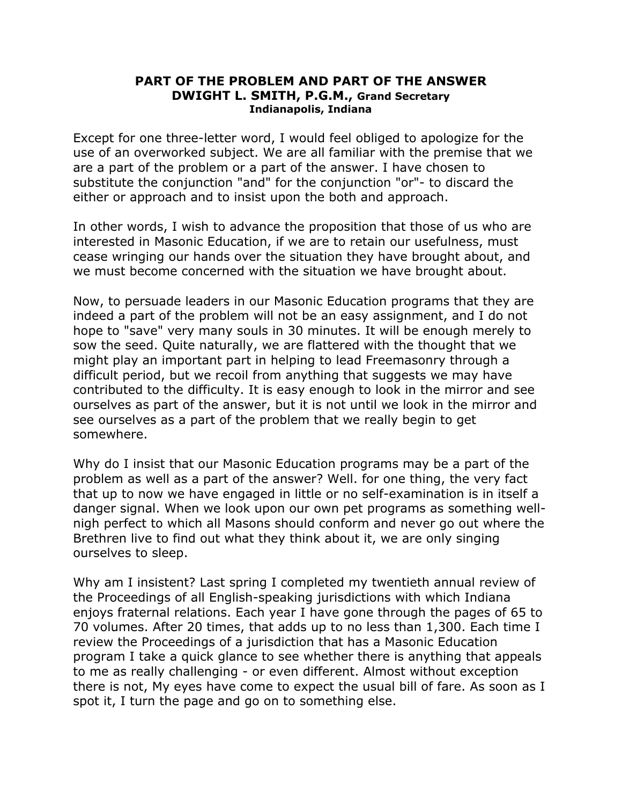## **PART OF THE PROBLEM AND PART OF THE ANSWER DWIGHT L. SMITH, P.G.M., Grand Secretary Indianapolis, Indiana**

Except for one three-letter word, I would feel obliged to apologize for the use of an overworked subject. We are all familiar with the premise that we are a part of the problem or a part of the answer. I have chosen to substitute the conjunction "and" for the conjunction "or"- to discard the either or approach and to insist upon the both and approach.

In other words, I wish to advance the proposition that those of us who are interested in Masonic Education, if we are to retain our usefulness, must cease wringing our hands over the situation they have brought about, and we must become concerned with the situation we have brought about.

Now, to persuade leaders in our Masonic Education programs that they are indeed a part of the problem will not be an easy assignment, and I do not hope to "save" very many souls in 30 minutes. It will be enough merely to sow the seed. Quite naturally, we are flattered with the thought that we might play an important part in helping to lead Freemasonry through a difficult period, but we recoil from anything that suggests we may have contributed to the difficulty. It is easy enough to look in the mirror and see ourselves as part of the answer, but it is not until we look in the mirror and see ourselves as a part of the problem that we really begin to get somewhere.

Why do I insist that our Masonic Education programs may be a part of the problem as well as a part of the answer? Well. for one thing, the very fact that up to now we have engaged in little or no self-examination is in itself a danger signal. When we look upon our own pet programs as something wellnigh perfect to which all Masons should conform and never go out where the Brethren live to find out what they think about it, we are only singing ourselves to sleep.

Why am I insistent? Last spring I completed my twentieth annual review of the Proceedings of all English-speaking jurisdictions with which Indiana enjoys fraternal relations. Each year I have gone through the pages of 65 to 70 volumes. After 20 times, that adds up to no less than 1,300. Each time I review the Proceedings of a jurisdiction that has a Masonic Education program I take a quick glance to see whether there is anything that appeals to me as really challenging - or even different. Almost without exception there is not, My eyes have come to expect the usual bill of fare. As soon as I spot it, I turn the page and go on to something else.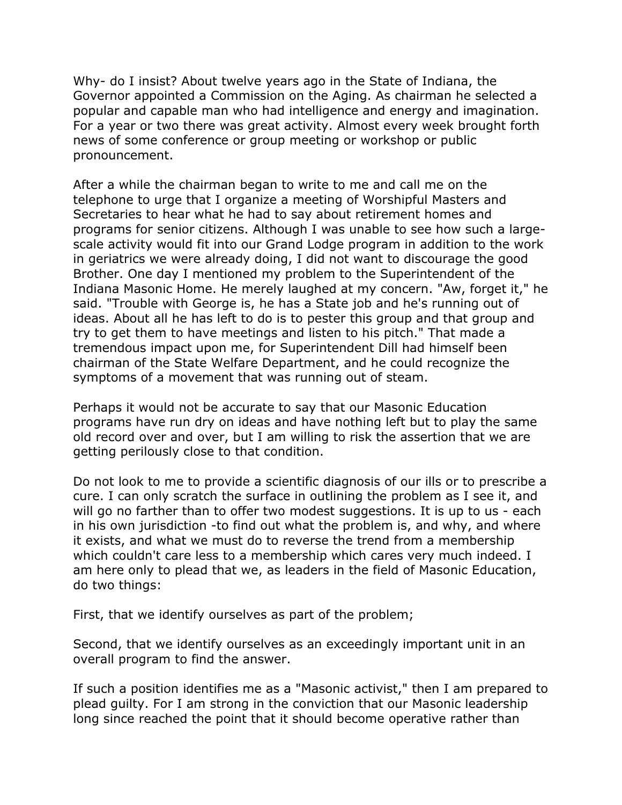Why- do I insist? About twelve years ago in the State of Indiana, the Governor appointed a Commission on the Aging. As chairman he selected a popular and capable man who had intelligence and energy and imagination. For a year or two there was great activity. Almost every week brought forth news of some conference or group meeting or workshop or public pronouncement.

After a while the chairman began to write to me and call me on the telephone to urge that I organize a meeting of Worshipful Masters and Secretaries to hear what he had to say about retirement homes and programs for senior citizens. Although I was unable to see how such a largescale activity would fit into our Grand Lodge program in addition to the work in geriatrics we were already doing, I did not want to discourage the good Brother. One day I mentioned my problem to the Superintendent of the Indiana Masonic Home. He merely laughed at my concern. "Aw, forget it," he said. "Trouble with George is, he has a State job and he's running out of ideas. About all he has left to do is to pester this group and that group and try to get them to have meetings and listen to his pitch." That made a tremendous impact upon me, for Superintendent Dill had himself been chairman of the State Welfare Department, and he could recognize the symptoms of a movement that was running out of steam.

Perhaps it would not be accurate to say that our Masonic Education programs have run dry on ideas and have nothing left but to play the same old record over and over, but I am willing to risk the assertion that we are getting perilously close to that condition.

Do not look to me to provide a scientific diagnosis of our ills or to prescribe a cure. I can only scratch the surface in outlining the problem as I see it, and will go no farther than to offer two modest suggestions. It is up to us - each in his own jurisdiction -to find out what the problem is, and why, and where it exists, and what we must do to reverse the trend from a membership which couldn't care less to a membership which cares very much indeed. I am here only to plead that we, as leaders in the field of Masonic Education, do two things:

First, that we identify ourselves as part of the problem;

Second, that we identify ourselves as an exceedingly important unit in an overall program to find the answer.

If such a position identifies me as a "Masonic activist," then I am prepared to plead guilty. For I am strong in the conviction that our Masonic leadership long since reached the point that it should become operative rather than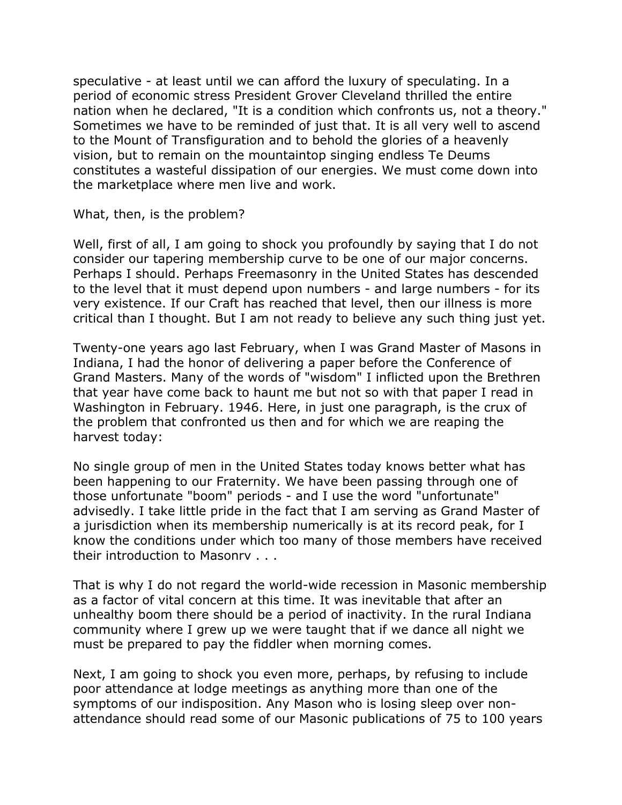speculative - at least until we can afford the luxury of speculating. In a period of economic stress President Grover Cleveland thrilled the entire nation when he declared, "It is a condition which confronts us, not a theory." Sometimes we have to be reminded of just that. It is all very well to ascend to the Mount of Transfiguration and to behold the glories of a heavenly vision, but to remain on the mountaintop singing endless Te Deums constitutes a wasteful dissipation of our energies. We must come down into the marketplace where men live and work.

## What, then, is the problem?

Well, first of all, I am going to shock you profoundly by saying that I do not consider our tapering membership curve to be one of our major concerns. Perhaps I should. Perhaps Freemasonry in the United States has descended to the level that it must depend upon numbers - and large numbers - for its very existence. If our Craft has reached that level, then our illness is more critical than I thought. But I am not ready to believe any such thing just yet.

Twenty-one years ago last February, when I was Grand Master of Masons in Indiana, I had the honor of delivering a paper before the Conference of Grand Masters. Many of the words of "wisdom" I inflicted upon the Brethren that year have come back to haunt me but not so with that paper I read in Washington in February. 1946. Here, in just one paragraph, is the crux of the problem that confronted us then and for which we are reaping the harvest today:

No single group of men in the United States today knows better what has been happening to our Fraternity. We have been passing through one of those unfortunate "boom" periods - and I use the word "unfortunate" advisedly. I take little pride in the fact that I am serving as Grand Master of a jurisdiction when its membership numerically is at its record peak, for I know the conditions under which too many of those members have received their introduction to Masonrv . . .

That is why I do not regard the world-wide recession in Masonic membership as a factor of vital concern at this time. It was inevitable that after an unhealthy boom there should be a period of inactivity. In the rural Indiana community where I grew up we were taught that if we dance all night we must be prepared to pay the fiddler when morning comes.

Next, I am going to shock you even more, perhaps, by refusing to include poor attendance at lodge meetings as anything more than one of the symptoms of our indisposition. Any Mason who is losing sleep over nonattendance should read some of our Masonic publications of 75 to 100 years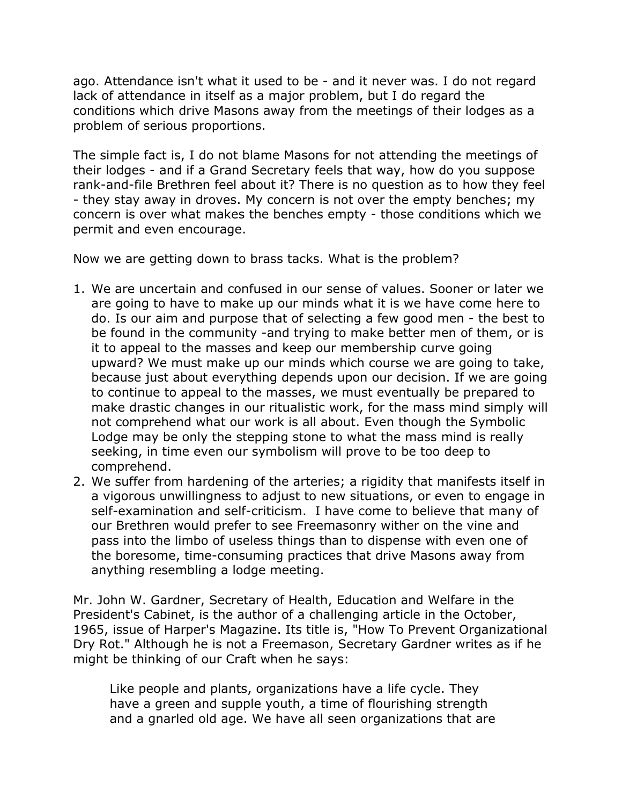ago. Attendance isn't what it used to be - and it never was. I do not regard lack of attendance in itself as a major problem, but I do regard the conditions which drive Masons away from the meetings of their lodges as a problem of serious proportions.

The simple fact is, I do not blame Masons for not attending the meetings of their lodges - and if a Grand Secretary feels that way, how do you suppose rank-and-file Brethren feel about it? There is no question as to how they feel - they stay away in droves. My concern is not over the empty benches; my concern is over what makes the benches empty - those conditions which we permit and even encourage.

Now we are getting down to brass tacks. What is the problem?

- 1. We are uncertain and confused in our sense of values. Sooner or later we are going to have to make up our minds what it is we have come here to do. Is our aim and purpose that of selecting a few good men - the best to be found in the community -and trying to make better men of them, or is it to appeal to the masses and keep our membership curve going upward? We must make up our minds which course we are going to take, because just about everything depends upon our decision. If we are going to continue to appeal to the masses, we must eventually be prepared to make drastic changes in our ritualistic work, for the mass mind simply will not comprehend what our work is all about. Even though the Symbolic Lodge may be only the stepping stone to what the mass mind is really seeking, in time even our symbolism will prove to be too deep to comprehend.
- 2. We suffer from hardening of the arteries; a rigidity that manifests itself in a vigorous unwillingness to adjust to new situations, or even to engage in self-examination and self-criticism. I have come to believe that many of our Brethren would prefer to see Freemasonry wither on the vine and pass into the limbo of useless things than to dispense with even one of the boresome, time-consuming practices that drive Masons away from anything resembling a lodge meeting.

Mr. John W. Gardner, Secretary of Health, Education and Welfare in the President's Cabinet, is the author of a challenging article in the October, 1965, issue of Harper's Magazine. Its title is, "How To Prevent Organizational Dry Rot." Although he is not a Freemason, Secretary Gardner writes as if he might be thinking of our Craft when he says:

Like people and plants, organizations have a life cycle. They have a green and supple youth, a time of flourishing strength and a gnarled old age. We have all seen organizations that are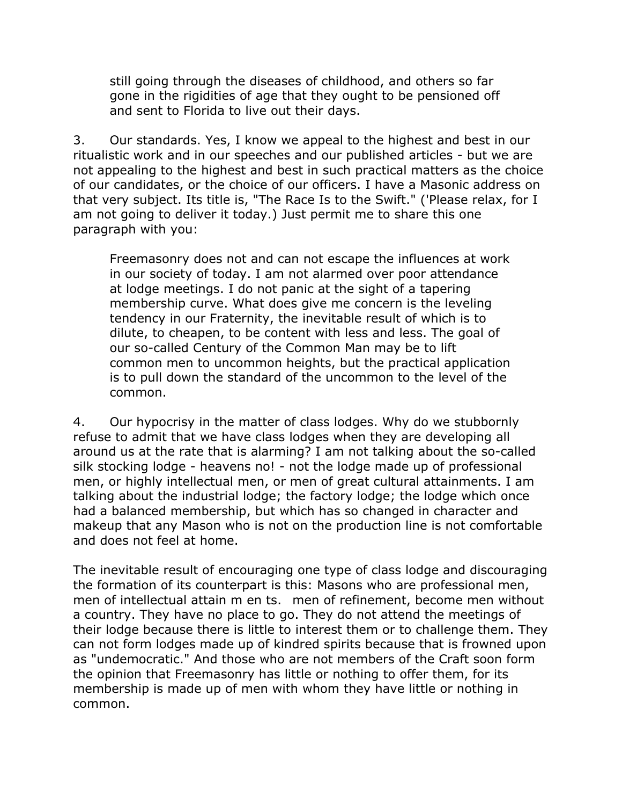still going through the diseases of childhood, and others so far gone in the rigidities of age that they ought to be pensioned off and sent to Florida to live out their days.

3. Our standards. Yes, I know we appeal to the highest and best in our ritualistic work and in our speeches and our published articles - but we are not appealing to the highest and best in such practical matters as the choice of our candidates, or the choice of our officers. I have a Masonic address on that very subject. Its title is, "The Race Is to the Swift." ('Please relax, for I am not going to deliver it today.) Just permit me to share this one paragraph with you:

Freemasonry does not and can not escape the influences at work in our society of today. I am not alarmed over poor attendance at lodge meetings. I do not panic at the sight of a tapering membership curve. What does give me concern is the leveling tendency in our Fraternity, the inevitable result of which is to dilute, to cheapen, to be content with less and less. The goal of our so-called Century of the Common Man may be to lift common men to uncommon heights, but the practical application is to pull down the standard of the uncommon to the level of the common.

4. Our hypocrisy in the matter of class lodges. Why do we stubbornly refuse to admit that we have class lodges when they are developing all around us at the rate that is alarming? I am not talking about the so-called silk stocking lodge - heavens no! - not the lodge made up of professional men, or highly intellectual men, or men of great cultural attainments. I am talking about the industrial lodge; the factory lodge; the lodge which once had a balanced membership, but which has so changed in character and makeup that any Mason who is not on the production line is not comfortable and does not feel at home.

The inevitable result of encouraging one type of class lodge and discouraging the formation of its counterpart is this: Masons who are professional men, men of intellectual attain m en ts. men of refinement, become men without a country. They have no place to go. They do not attend the meetings of their lodge because there is little to interest them or to challenge them. They can not form lodges made up of kindred spirits because that is frowned upon as "undemocratic." And those who are not members of the Craft soon form the opinion that Freemasonry has little or nothing to offer them, for its membership is made up of men with whom they have little or nothing in common.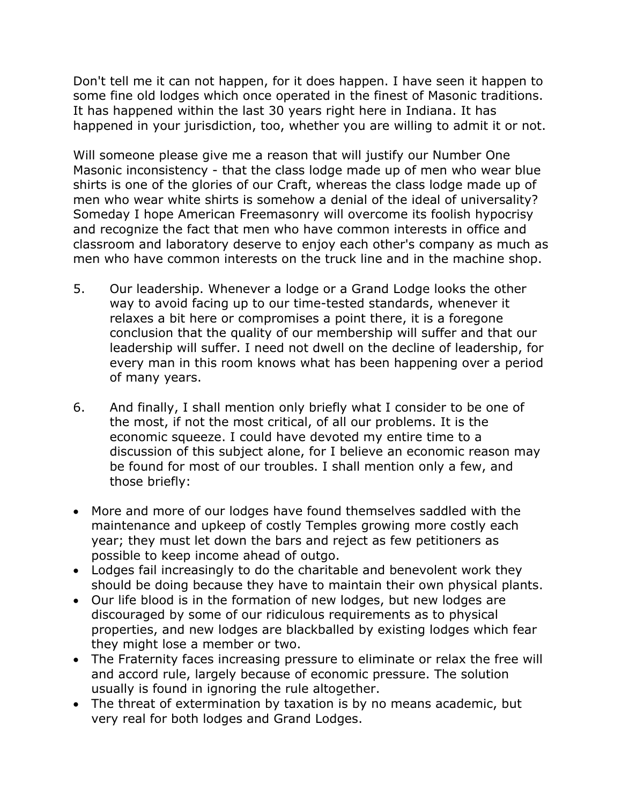Don't tell me it can not happen, for it does happen. I have seen it happen to some fine old lodges which once operated in the finest of Masonic traditions. It has happened within the last 30 years right here in Indiana. It has happened in your jurisdiction, too, whether you are willing to admit it or not.

Will someone please give me a reason that will justify our Number One Masonic inconsistency - that the class lodge made up of men who wear blue shirts is one of the glories of our Craft, whereas the class lodge made up of men who wear white shirts is somehow a denial of the ideal of universality? Someday I hope American Freemasonry will overcome its foolish hypocrisy and recognize the fact that men who have common interests in office and classroom and laboratory deserve to enjoy each other's company as much as men who have common interests on the truck line and in the machine shop.

- 5. Our leadership. Whenever a lodge or a Grand Lodge looks the other way to avoid facing up to our time-tested standards, whenever it relaxes a bit here or compromises a point there, it is a foregone conclusion that the quality of our membership will suffer and that our leadership will suffer. I need not dwell on the decline of leadership, for every man in this room knows what has been happening over a period of many years.
- 6. And finally, I shall mention only briefly what I consider to be one of the most, if not the most critical, of all our problems. It is the economic squeeze. I could have devoted my entire time to a discussion of this subject alone, for I believe an economic reason may be found for most of our troubles. I shall mention only a few, and those briefly:
- More and more of our lodges have found themselves saddled with the maintenance and upkeep of costly Temples growing more costly each year; they must let down the bars and reject as few petitioners as possible to keep income ahead of outgo.
- Lodges fail increasingly to do the charitable and benevolent work they should be doing because they have to maintain their own physical plants.
- Our life blood is in the formation of new lodges, but new lodges are discouraged by some of our ridiculous requirements as to physical properties, and new lodges are blackballed by existing lodges which fear they might lose a member or two.
- The Fraternity faces increasing pressure to eliminate or relax the free will and accord rule, largely because of economic pressure. The solution usually is found in ignoring the rule altogether.
- The threat of extermination by taxation is by no means academic, but very real for both lodges and Grand Lodges.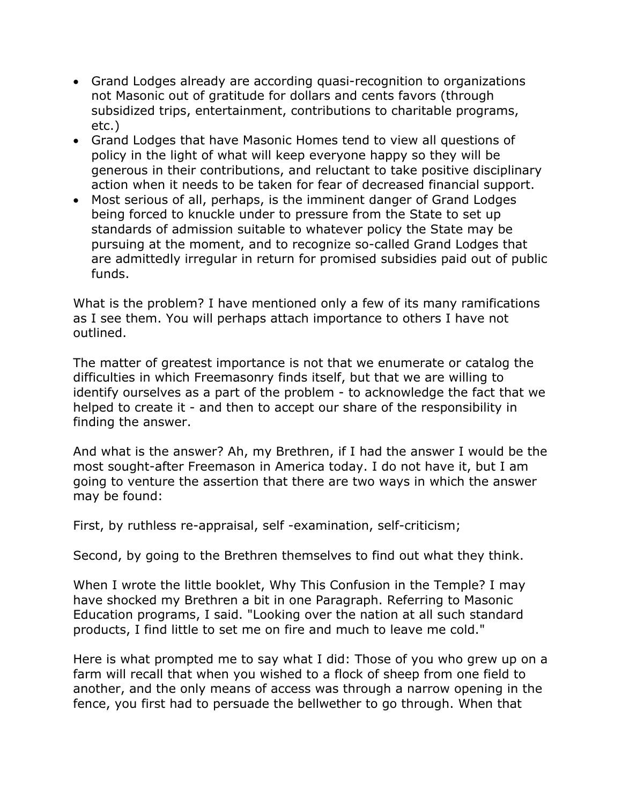- Grand Lodges already are according quasi-recognition to organizations not Masonic out of gratitude for dollars and cents favors (through subsidized trips, entertainment, contributions to charitable programs, etc.)
- Grand Lodges that have Masonic Homes tend to view all questions of policy in the light of what will keep everyone happy so they will be generous in their contributions, and reluctant to take positive disciplinary action when it needs to be taken for fear of decreased financial support.
- Most serious of all, perhaps, is the imminent danger of Grand Lodges being forced to knuckle under to pressure from the State to set up standards of admission suitable to whatever policy the State may be pursuing at the moment, and to recognize so-called Grand Lodges that are admittedly irregular in return for promised subsidies paid out of public funds.

What is the problem? I have mentioned only a few of its many ramifications as I see them. You will perhaps attach importance to others I have not outlined.

The matter of greatest importance is not that we enumerate or catalog the difficulties in which Freemasonry finds itself, but that we are willing to identify ourselves as a part of the problem - to acknowledge the fact that we helped to create it - and then to accept our share of the responsibility in finding the answer.

And what is the answer? Ah, my Brethren, if I had the answer I would be the most sought-after Freemason in America today. I do not have it, but I am going to venture the assertion that there are two ways in which the answer may be found:

First, by ruthless re-appraisal, self -examination, self-criticism;

Second, by going to the Brethren themselves to find out what they think.

When I wrote the little booklet, Why This Confusion in the Temple? I may have shocked my Brethren a bit in one Paragraph. Referring to Masonic Education programs, I said. "Looking over the nation at all such standard products, I find little to set me on fire and much to leave me cold."

Here is what prompted me to say what I did: Those of you who grew up on a farm will recall that when you wished to a flock of sheep from one field to another, and the only means of access was through a narrow opening in the fence, you first had to persuade the bellwether to go through. When that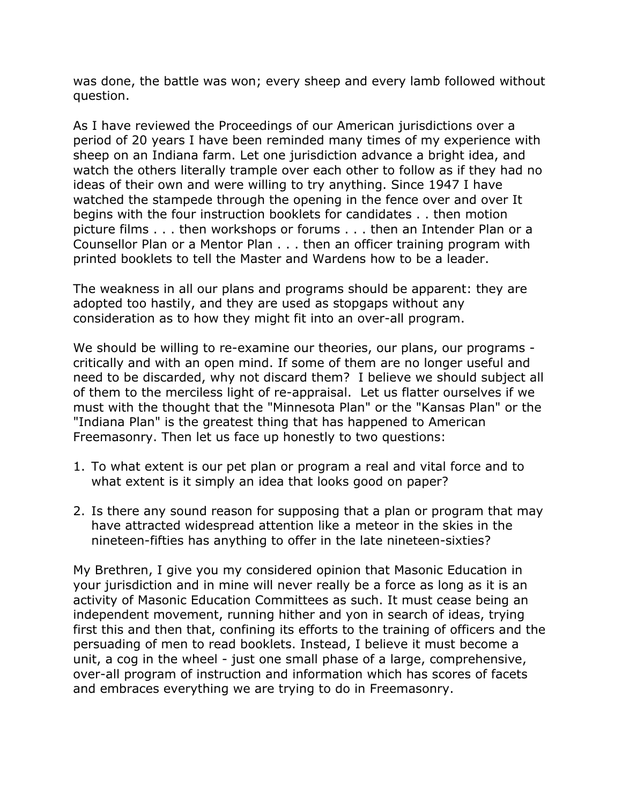was done, the battle was won; every sheep and every lamb followed without question.

As I have reviewed the Proceedings of our American jurisdictions over a period of 20 years I have been reminded many times of my experience with sheep on an Indiana farm. Let one jurisdiction advance a bright idea, and watch the others literally trample over each other to follow as if they had no ideas of their own and were willing to try anything. Since 1947 I have watched the stampede through the opening in the fence over and over It begins with the four instruction booklets for candidates . . then motion picture films . . . then workshops or forums . . . then an Intender Plan or a Counsellor Plan or a Mentor Plan . . . then an officer training program with printed booklets to tell the Master and Wardens how to be a leader.

The weakness in all our plans and programs should be apparent: they are adopted too hastily, and they are used as stopgaps without any consideration as to how they might fit into an over-all program.

We should be willing to re-examine our theories, our plans, our programs critically and with an open mind. If some of them are no longer useful and need to be discarded, why not discard them? I believe we should subject all of them to the merciless light of re-appraisal. Let us flatter ourselves if we must with the thought that the "Minnesota Plan" or the "Kansas Plan" or the "Indiana Plan" is the greatest thing that has happened to American Freemasonry. Then let us face up honestly to two questions:

- 1. To what extent is our pet plan or program a real and vital force and to what extent is it simply an idea that looks good on paper?
- 2. Is there any sound reason for supposing that a plan or program that may have attracted widespread attention like a meteor in the skies in the nineteen-fifties has anything to offer in the late nineteen-sixties?

My Brethren, I give you my considered opinion that Masonic Education in your jurisdiction and in mine will never really be a force as long as it is an activity of Masonic Education Committees as such. It must cease being an independent movement, running hither and yon in search of ideas, trying first this and then that, confining its efforts to the training of officers and the persuading of men to read booklets. Instead, I believe it must become a unit, a cog in the wheel - just one small phase of a large, comprehensive, over-all program of instruction and information which has scores of facets and embraces everything we are trying to do in Freemasonry.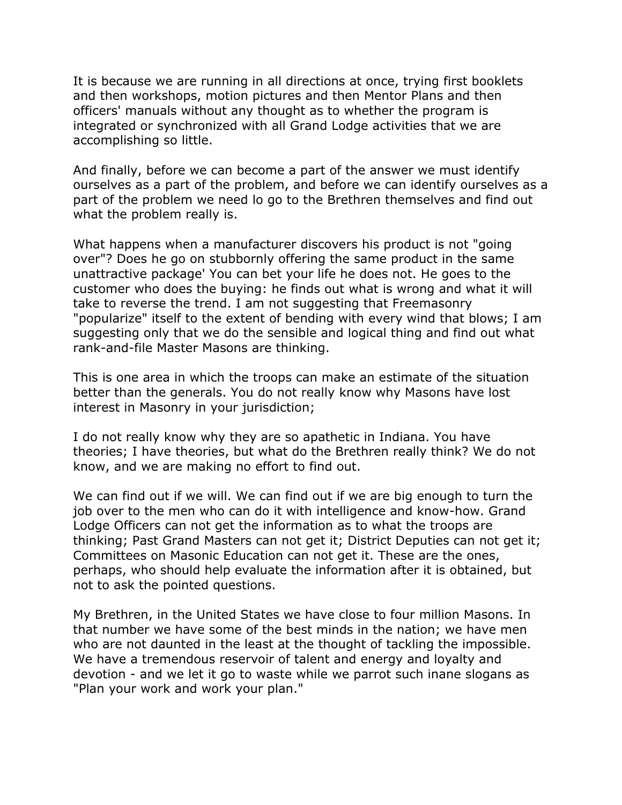It is because we are running in all directions at once, trying first booklets and then workshops, motion pictures and then Mentor Plans and then officers' manuals without any thought as to whether the program is integrated or synchronized with all Grand Lodge activities that we are accomplishing so little.

And finally, before we can become a part of the answer we must identify ourselves as a part of the problem, and before we can identify ourselves as a part of the problem we need lo go to the Brethren themselves and find out what the problem really is.

What happens when a manufacturer discovers his product is not "going over"? Does he go on stubbornly offering the same product in the same unattractive package' You can bet your life he does not. He goes to the customer who does the buying: he finds out what is wrong and what it will take to reverse the trend. I am not suggesting that Freemasonry "popularize" itself to the extent of bending with every wind that blows; I am suggesting only that we do the sensible and logical thing and find out what rank-and-file Master Masons are thinking.

This is one area in which the troops can make an estimate of the situation better than the generals. You do not really know why Masons have lost interest in Masonry in your jurisdiction;

I do not really know why they are so apathetic in Indiana. You have theories; I have theories, but what do the Brethren really think? We do not know, and we are making no effort to find out.

We can find out if we will. We can find out if we are big enough to turn the job over to the men who can do it with intelligence and know-how. Grand Lodge Officers can not get the information as to what the troops are thinking; Past Grand Masters can not get it; District Deputies can not get it; Committees on Masonic Education can not get it. These are the ones, perhaps, who should help evaluate the information after it is obtained, but not to ask the pointed questions.

My Brethren, in the United States we have close to four million Masons. In that number we have some of the best minds in the nation; we have men who are not daunted in the least at the thought of tackling the impossible. We have a tremendous reservoir of talent and energy and loyalty and devotion - and we let it go to waste while we parrot such inane slogans as "Plan your work and work your plan."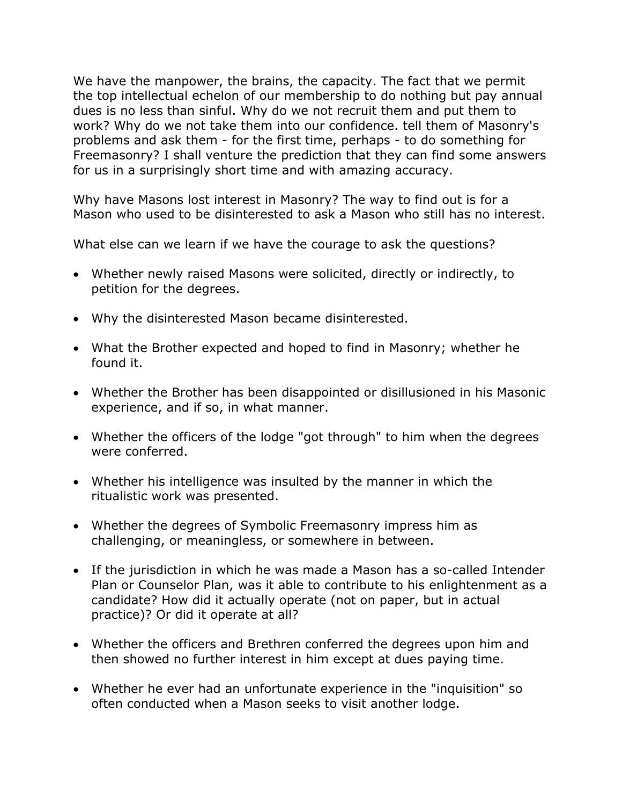We have the manpower, the brains, the capacity. The fact that we permit the top intellectual echelon of our membership to do nothing but pay annual dues is no less than sinful. Why do we not recruit them and put them to work? Why do we not take them into our confidence. tell them of Masonry's problems and ask them - for the first time, perhaps - to do something for Freemasonry? I shall venture the prediction that they can find some answers for us in a surprisingly short time and with amazing accuracy.

Why have Masons lost interest in Masonry? The way to find out is for a Mason who used to be disinterested to ask a Mason who still has no interest.

What else can we learn if we have the courage to ask the questions?

- Whether newly raised Masons were solicited, directly or indirectly, to petition for the degrees.
- Why the disinterested Mason became disinterested.
- What the Brother expected and hoped to find in Masonry; whether he found it.
- Whether the Brother has been disappointed or disillusioned in his Masonic experience, and if so, in what manner.
- Whether the officers of the lodge "got through" to him when the degrees were conferred.
- Whether his intelligence was insulted by the manner in which the ritualistic work was presented.
- Whether the degrees of Symbolic Freemasonry impress him as challenging, or meaningless, or somewhere in between.
- If the jurisdiction in which he was made a Mason has a so-called Intender Plan or Counselor Plan, was it able to contribute to his enlightenment as a candidate? How did it actually operate (not on paper, but in actual practice)? Or did it operate at all?
- Whether the officers and Brethren conferred the degrees upon him and then showed no further interest in him except at dues paying time.
- Whether he ever had an unfortunate experience in the "inquisition" so often conducted when a Mason seeks to visit another lodge.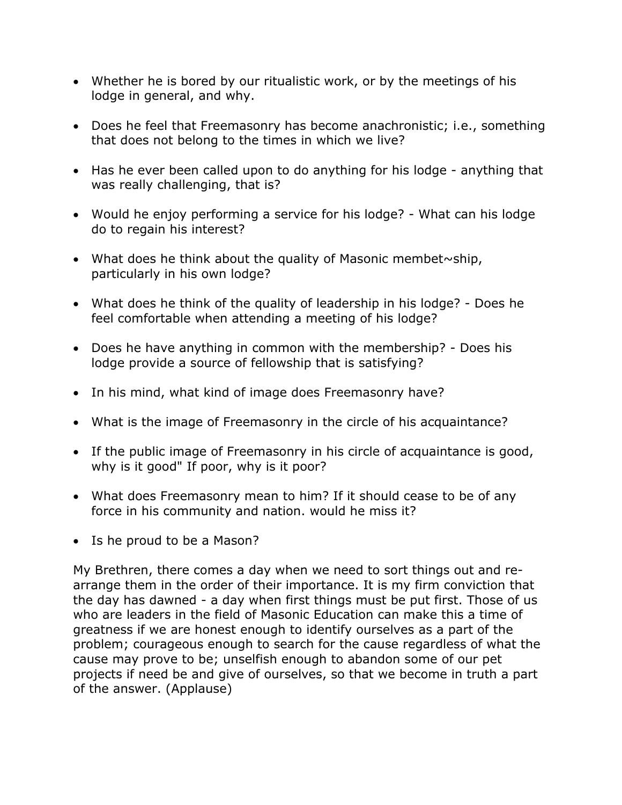- Whether he is bored by our ritualistic work, or by the meetings of his lodge in general, and why.
- Does he feel that Freemasonry has become anachronistic; i.e., something that does not belong to the times in which we live?
- Has he ever been called upon to do anything for his lodge anything that was really challenging, that is?
- Would he enjoy performing a service for his lodge? What can his lodge do to regain his interest?
- What does he think about the quality of Masonic membet $\sim$ ship, particularly in his own lodge?
- What does he think of the quality of leadership in his lodge? Does he feel comfortable when attending a meeting of his lodge?
- Does he have anything in common with the membership? Does his lodge provide a source of fellowship that is satisfying?
- In his mind, what kind of image does Freemasonry have?
- What is the image of Freemasonry in the circle of his acquaintance?
- If the public image of Freemasonry in his circle of acquaintance is good, why is it good" If poor, why is it poor?
- What does Freemasonry mean to him? If it should cease to be of any force in his community and nation. would he miss it?
- Is he proud to be a Mason?

My Brethren, there comes a day when we need to sort things out and rearrange them in the order of their importance. It is my firm conviction that the day has dawned - a day when first things must be put first. Those of us who are leaders in the field of Masonic Education can make this a time of greatness if we are honest enough to identify ourselves as a part of the problem; courageous enough to search for the cause regardless of what the cause may prove to be; unselfish enough to abandon some of our pet projects if need be and give of ourselves, so that we become in truth a part of the answer. (Applause)